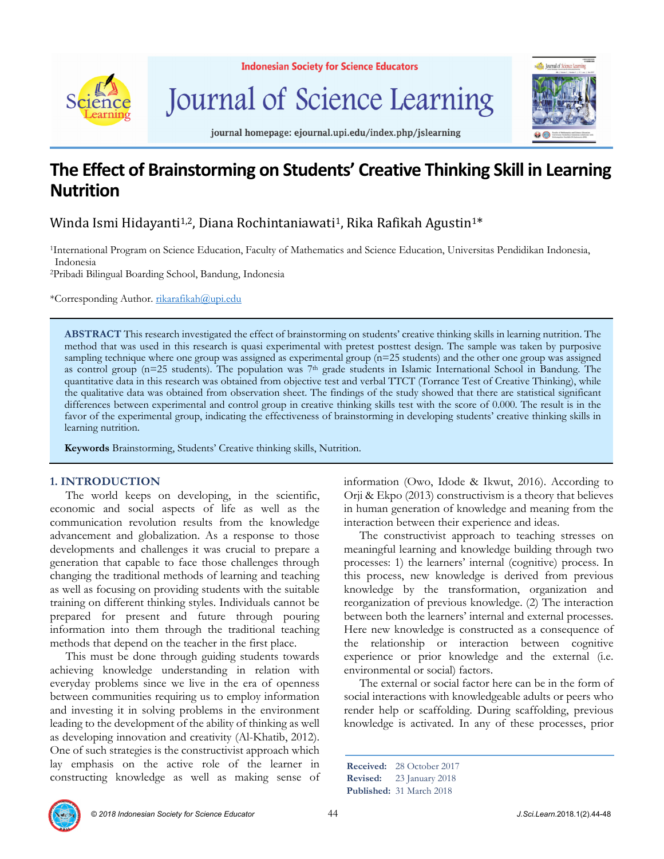

**Indonesian Society for Science Educators** 

Journal of Science Learning



journal homepage: ejournal.upi.edu/index.php/jslearning

# **The Effect of Brainstorming on Students' Creative Thinking Skill in Learning Nutrition**

# Winda Ismi Hidayanti<sup>1,2</sup>, Diana Rochintaniawati<sup>1</sup>, Rika Rafikah Agustin<sup>1\*</sup>

1International Program on Science Education, Faculty of Mathematics and Science Education, Universitas Pendidikan Indonesia, Indonesia

2Pribadi Bilingual Boarding School, Bandung, Indonesia

\*Corresponding Author. rikarafikah@upi.edu

**ABSTRACT** This research investigated the effect of brainstorming on students' creative thinking skills in learning nutrition. The method that was used in this research is quasi experimental with pretest posttest design. The sample was taken by purposive sampling technique where one group was assigned as experimental group (n=25 students) and the other one group was assigned as control group (n=25 students). The population was 7<sup>th</sup> grade students in Islamic International School in Bandung. The quantitative data in this research was obtained from objective test and verbal TTCT (Torrance Test of Creative Thinking), while the qualitative data was obtained from observation sheet. The findings of the study showed that there are statistical significant differences between experimental and control group in creative thinking skills test with the score of 0.000. The result is in the favor of the experimental group, indicating the effectiveness of brainstorming in developing students' creative thinking skills in learning nutrition.

**Keywords** Brainstorming, Students' Creative thinking skills, Nutrition.

# **1. INTRODUCTION**

The world keeps on developing, in the scientific, economic and social aspects of life as well as the communication revolution results from the knowledge advancement and globalization. As a response to those developments and challenges it was crucial to prepare a generation that capable to face those challenges through changing the traditional methods of learning and teaching as well as focusing on providing students with the suitable training on different thinking styles. Individuals cannot be prepared for present and future through pouring information into them through the traditional teaching methods that depend on the teacher in the first place.

This must be done through guiding students towards achieving knowledge understanding in relation with everyday problems since we live in the era of openness between communities requiring us to employ information and investing it in solving problems in the environment leading to the development of the ability of thinking as well as developing innovation and creativity (Al-Khatib, 2012). One of such strategies is the constructivist approach which lay emphasis on the active role of the learner in constructing knowledge as well as making sense of information (Owo, Idode & Ikwut, 2016). According to Orji & Ekpo (2013) constructivism is a theory that believes in human generation of knowledge and meaning from the interaction between their experience and ideas.

The constructivist approach to teaching stresses on meaningful learning and knowledge building through two processes: 1) the learners' internal (cognitive) process. In this process, new knowledge is derived from previous knowledge by the transformation, organization and reorganization of previous knowledge. (2) The interaction between both the learners' internal and external processes. Here new knowledge is constructed as a consequence of the relationship or interaction between cognitive experience or prior knowledge and the external (i.e. environmental or social) factors.

The external or social factor here can be in the form of social interactions with knowledgeable adults or peers who render help or scaffolding. During scaffolding, previous knowledge is activated. In any of these processes, prior

**Received:** 28 October 2017 **Revised:** 23 January 2018

**Published:** 31 March 2018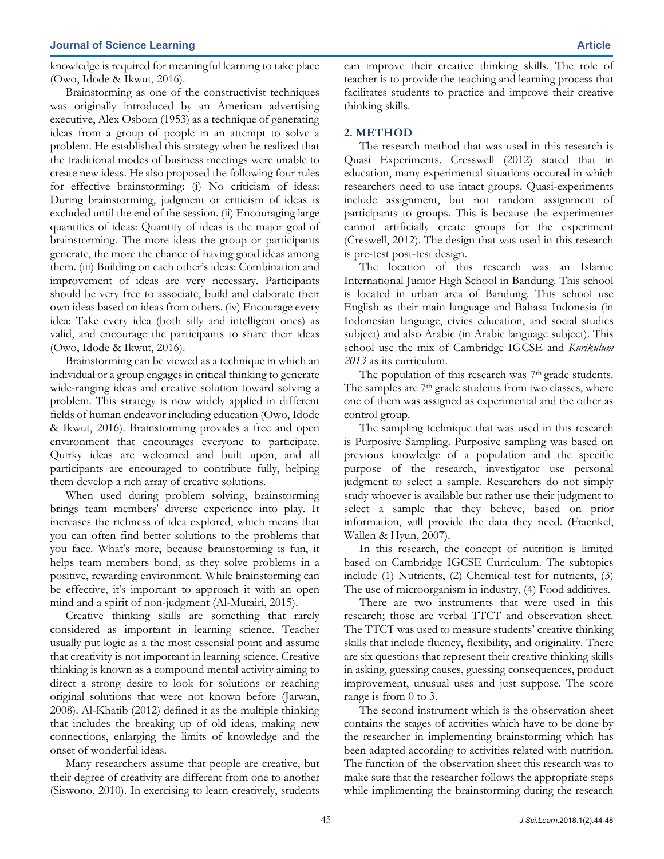knowledge is required for meaningful learning to take place (Owo, Idode & Ikwut, 2016).

Brainstorming as one of the constructivist techniques was originally introduced by an American advertising executive, Alex Osborn (1953) as a technique of generating ideas from a group of people in an attempt to solve a problem. He established this strategy when he realized that the traditional modes of business meetings were unable to create new ideas. He also proposed the following four rules for effective brainstorming: (i) No criticism of ideas: During brainstorming, judgment or criticism of ideas is excluded until the end of the session. (ii) Encouraging large quantities of ideas: Quantity of ideas is the major goal of brainstorming. The more ideas the group or participants generate, the more the chance of having good ideas among them. (iii) Building on each other's ideas: Combination and improvement of ideas are very necessary. Participants should be very free to associate, build and elaborate their own ideas based on ideas from others. (iv) Encourage every idea: Take every idea (both silly and intelligent ones) as valid, and encourage the participants to share their ideas (Owo, Idode & Ikwut, 2016).

Brainstorming can be viewed as a technique in which an individual or a group engages in critical thinking to generate wide-ranging ideas and creative solution toward solving a problem. This strategy is now widely applied in different fields of human endeavor including education (Owo, Idode & Ikwut, 2016). Brainstorming provides a free and open environment that encourages everyone to participate. Quirky ideas are welcomed and built upon, and all participants are encouraged to contribute fully, helping them develop a rich array of creative solutions.

When used during problem solving, brainstorming brings team members' diverse experience into play. It increases the richness of idea explored, which means that you can often find better solutions to the problems that you face. What's more, because brainstorming is fun, it helps team members bond, as they solve problems in a positive, rewarding environment. While brainstorming can be effective, it's important to approach it with an open mind and a spirit of non-judgment (Al-Mutairi, 2015).

Creative thinking skills are something that rarely considered as important in learning science. Teacher usually put logic as a the most essensial point and assume that creativity is not important in learning science. Creative thinking is known as a compound mental activity aiming to direct a strong desire to look for solutions or reaching original solutions that were not known before (Jarwan, 2008). Al-Khatib (2012) defined it as the multiple thinking that includes the breaking up of old ideas, making new connections, enlarging the limits of knowledge and the onset of wonderful ideas.

Many researchers assume that people are creative, but their degree of creativity are different from one to another (Siswono, 2010). In exercising to learn creatively, students can improve their creative thinking skills. The role of teacher is to provide the teaching and learning process that facilitates students to practice and improve their creative thinking skills.

# **2. METHOD**

The research method that was used in this research is Quasi Experiments. Cresswell (2012) stated that in education, many experimental situations occured in which researchers need to use intact groups. Quasi-experiments include assignment, but not random assignment of participants to groups. This is because the experimenter cannot artificially create groups for the experiment (Creswell, 2012). The design that was used in this research is pre-test post-test design.

The location of this research was an Islamic International Junior High School in Bandung. This school is located in urban area of Bandung. This school use English as their main language and Bahasa Indonesia (in Indonesian language, civics education, and social studies subject) and also Arabic (in Arabic language subject). This school use the mix of Cambridge IGCSE and *Kurikulum 2013* as its curriculum.

The population of this research was 7<sup>th</sup> grade students. The samples are 7<sup>th</sup> grade students from two classes, where one of them was assigned as experimental and the other as control group.

The sampling technique that was used in this research is Purposive Sampling. Purposive sampling was based on previous knowledge of a population and the specific purpose of the research, investigator use personal judgment to select a sample. Researchers do not simply study whoever is available but rather use their judgment to select a sample that they believe, based on prior information, will provide the data they need. (Fraenkel, Wallen & Hyun, 2007).

In this research, the concept of nutrition is limited based on Cambridge IGCSE Curriculum. The subtopics include (1) Nutrients, (2) Chemical test for nutrients, (3) The use of microorganism in industry, (4) Food additives.

There are two instruments that were used in this research; those are verbal TTCT and observation sheet. The TTCT was used to measure students' creative thinking skills that include fluency, flexibility, and originality. There are six questions that represent their creative thinking skills in asking, guessing causes, guessing consequences, product improvement, unusual uses and just suppose. The score range is from 0 to 3.

The second instrument which is the observation sheet contains the stages of activities which have to be done by the researcher in implementing brainstorming which has been adapted according to activities related with nutrition. The function of the observation sheet this research was to make sure that the researcher follows the appropriate steps while implimenting the brainstorming during the research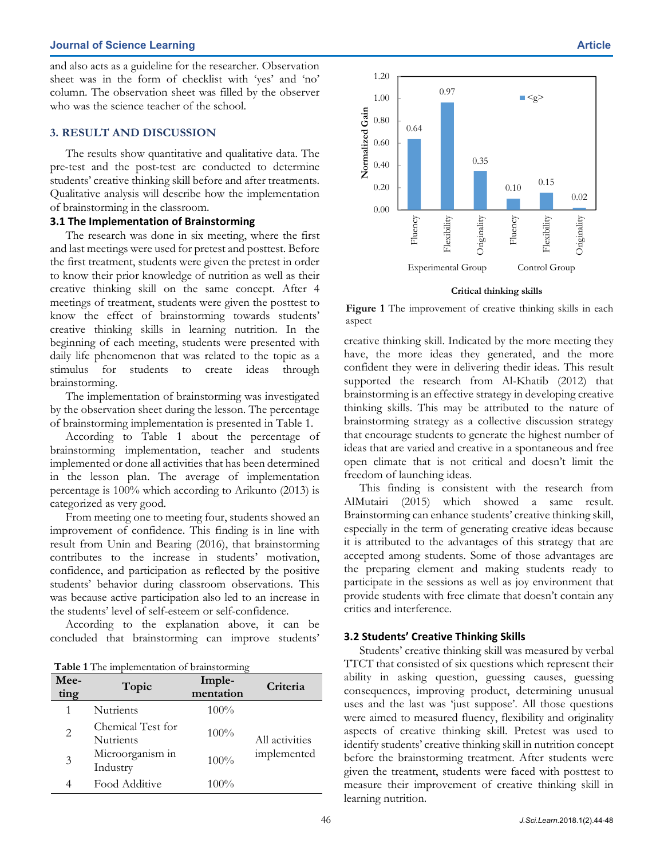#### **Journal of Science Learning Article**

and also acts as a guideline for the researcher. Observation sheet was in the form of checklist with 'yes' and 'no' column. The observation sheet was filled by the observer who was the science teacher of the school.

# **3. RESULT AND DISCUSSION**

The results show quantitative and qualitative data. The pre-test and the post-test are conducted to determine students' creative thinking skill before and after treatments. Qualitative analysis will describe how the implementation of brainstorming in the classroom.

## **3.1 The Implementation of Brainstorming**

The research was done in six meeting, where the first and last meetings were used for pretest and posttest. Before the first treatment, students were given the pretest in order to know their prior knowledge of nutrition as well as their creative thinking skill on the same concept. After 4 meetings of treatment, students were given the posttest to know the effect of brainstorming towards students' creative thinking skills in learning nutrition. In the beginning of each meeting, students were presented with daily life phenomenon that was related to the topic as a stimulus for students to create ideas through brainstorming.

The implementation of brainstorming was investigated by the observation sheet during the lesson. The percentage of brainstorming implementation is presented in Table 1.

According to Table 1 about the percentage of brainstorming implementation, teacher and students implemented or done all activities that has been determined in the lesson plan. The average of implementation percentage is 100% which according to Arikunto (2013) is categorized as very good.

From meeting one to meeting four, students showed an improvement of confidence. This finding is in line with result from Unin and Bearing (2016), that brainstorming contributes to the increase in students' motivation, confidence, and participation as reflected by the positive students' behavior during classroom observations. This was because active participation also led to an increase in the students' level of self-esteem or self-confidence.

According to the explanation above, it can be concluded that brainstorming can improve students'

**Table 1** The implementation of brainstorming

| Mee-<br>ting | Topic                                 | Imple-<br>mentation | Criteria                      |  |
|--------------|---------------------------------------|---------------------|-------------------------------|--|
|              | <b>Nutrients</b>                      | $100\%$             | All activities<br>implemented |  |
| 2            | Chemical Test for<br><b>Nutrients</b> | 100%                |                               |  |
| 3            | Microorganism in<br>Industry          | 100%                |                               |  |
| 4            | Food Additive                         | $100\%$             |                               |  |



**Critical thinking skills**

**Figure 1** The improvement of creative thinking skills in each aspect

creative thinking skill. Indicated by the more meeting they have, the more ideas they generated, and the more confident they were in delivering thedir ideas. This result supported the research from Al-Khatib (2012) that brainstorming is an effective strategy in developing creative thinking skills. This may be attributed to the nature of brainstorming strategy as a collective discussion strategy that encourage students to generate the highest number of ideas that are varied and creative in a spontaneous and free open climate that is not critical and doesn't limit the freedom of launching ideas.

This finding is consistent with the research from AlMutairi (2015) which showed a same result. Brainstorming can enhance students' creative thinking skill, especially in the term of generating creative ideas because it is attributed to the advantages of this strategy that are accepted among students. Some of those advantages are the preparing element and making students ready to participate in the sessions as well as joy environment that provide students with free climate that doesn't contain any critics and interference.

#### **3.2 Students' Creative Thinking Skills**

Students' creative thinking skill was measured by verbal TTCT that consisted of six questions which represent their ability in asking question, guessing causes, guessing consequences, improving product, determining unusual uses and the last was 'just suppose'. All those questions were aimed to measured fluency, flexibility and originality aspects of creative thinking skill. Pretest was used to identify students' creative thinking skill in nutrition concept before the brainstorming treatment. After students were given the treatment, students were faced with posttest to measure their improvement of creative thinking skill in learning nutrition.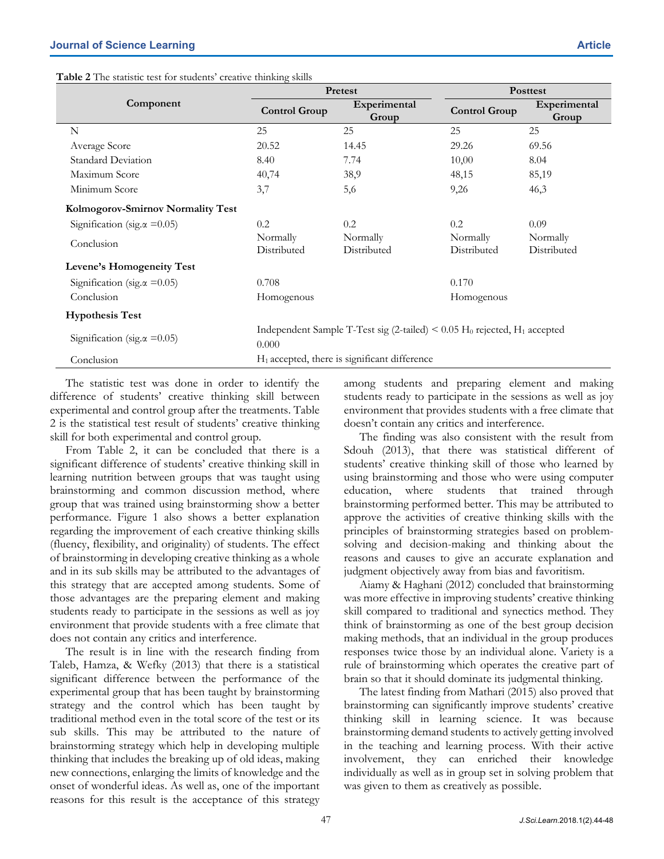| Table 2 The statistic test for students' creative thinking skills |  |  |  |
|-------------------------------------------------------------------|--|--|--|
|-------------------------------------------------------------------|--|--|--|

**Component** 

|                                     | <b>Control Group</b>                                                                                           | парспитента<br>Group    | <b>Control Group</b>    | парспитении<br>Group    |  |  |
|-------------------------------------|----------------------------------------------------------------------------------------------------------------|-------------------------|-------------------------|-------------------------|--|--|
| N                                   | 25                                                                                                             | 25                      | 25                      | 25                      |  |  |
| Average Score                       | 20.52                                                                                                          | 14.45                   | 29.26                   | 69.56                   |  |  |
| <b>Standard Deviation</b>           | 8.40                                                                                                           | 7.74                    | 10,00                   | 8.04                    |  |  |
| Maximum Score                       | 40,74                                                                                                          | 38,9                    | 48,15                   | 85,19                   |  |  |
| Minimum Score                       | 3,7                                                                                                            | 5,6                     | 9,26                    | 46,3                    |  |  |
| Kolmogorov-Smirnov Normality Test   |                                                                                                                |                         |                         |                         |  |  |
| Signification (sig. $\alpha$ =0.05) | 0.2                                                                                                            | 0.2                     | 0.2                     | 0.09                    |  |  |
| Conclusion                          | Normally<br>Distributed                                                                                        | Normally<br>Distributed | Normally<br>Distributed | Normally<br>Distributed |  |  |
| Levene's Homogeneity Test           |                                                                                                                |                         |                         |                         |  |  |
| Signification (sig. $\alpha$ =0.05) | 0.708                                                                                                          |                         | 0.170                   |                         |  |  |
| Conclusion                          | Homogenous                                                                                                     |                         | Homogenous              |                         |  |  |
| <b>Hypothesis Test</b>              |                                                                                                                |                         |                         |                         |  |  |
| Signification (sig. $\alpha$ =0.05) | Independent Sample T-Test sig (2-tailed) $\leq 0.05$ H <sub>0</sub> rejected, H <sub>1</sub> accepted<br>0.000 |                         |                         |                         |  |  |
| Conclusion                          | $H_1$ accepted, there is significant difference                                                                |                         |                         |                         |  |  |
|                                     |                                                                                                                |                         |                         |                         |  |  |

The statistic test was done in order to identify the difference of students' creative thinking skill between experimental and control group after the treatments. Table 2 is the statistical test result of students' creative thinking skill for both experimental and control group.

From Table 2, it can be concluded that there is a significant difference of students' creative thinking skill in learning nutrition between groups that was taught using brainstorming and common discussion method, where group that was trained using brainstorming show a better performance. Figure 1 also shows a better explanation regarding the improvement of each creative thinking skills (fluency, flexibility, and originality) of students. The effect of brainstorming in developing creative thinking as a whole and in its sub skills may be attributed to the advantages of this strategy that are accepted among students. Some of those advantages are the preparing element and making students ready to participate in the sessions as well as joy environment that provide students with a free climate that does not contain any critics and interference.

The result is in line with the research finding from Taleb, Hamza, & Wefky (2013) that there is a statistical significant difference between the performance of the experimental group that has been taught by brainstorming strategy and the control which has been taught by traditional method even in the total score of the test or its sub skills. This may be attributed to the nature of brainstorming strategy which help in developing multiple thinking that includes the breaking up of old ideas, making new connections, enlarging the limits of knowledge and the onset of wonderful ideas. As well as, one of the important reasons for this result is the acceptance of this strategy

among students and preparing element and making students ready to participate in the sessions as well as joy environment that provides students with a free climate that doesn't contain any critics and interference.

The finding was also consistent with the result from Sdouh (2013), that there was statistical different of students' creative thinking skill of those who learned by using brainstorming and those who were using computer education, where students that trained through brainstorming performed better. This may be attributed to approve the activities of creative thinking skills with the principles of brainstorming strategies based on problemsolving and decision-making and thinking about the reasons and causes to give an accurate explanation and judgment objectively away from bias and favoritism.

Aiamy & Haghani (2012) concluded that brainstorming was more effective in improving students' creative thinking skill compared to traditional and synectics method. They think of brainstorming as one of the best group decision making methods, that an individual in the group produces responses twice those by an individual alone. Variety is a rule of brainstorming which operates the creative part of brain so that it should dominate its judgmental thinking.

The latest finding from Mathari (2015) also proved that brainstorming can significantly improve students' creative thinking skill in learning science. It was because brainstorming demand students to actively getting involved in the teaching and learning process. With their active involvement, they can enriched their knowledge individually as well as in group set in solving problem that was given to them as creatively as possible.